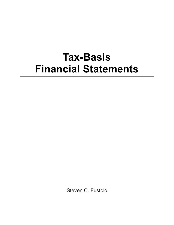## **Tax-Basis Financial Statements**

Steven C. Fustolo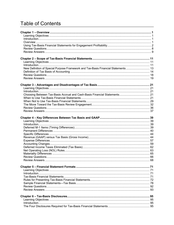## **Table of Contents**

| New Definition of Special Purpose Framework and Tax-Basis Financial Statements  13 |  |
|------------------------------------------------------------------------------------|--|
|                                                                                    |  |
|                                                                                    |  |
|                                                                                    |  |
|                                                                                    |  |
|                                                                                    |  |
|                                                                                    |  |
|                                                                                    |  |
|                                                                                    |  |
|                                                                                    |  |
|                                                                                    |  |
|                                                                                    |  |
|                                                                                    |  |
|                                                                                    |  |
|                                                                                    |  |
|                                                                                    |  |
|                                                                                    |  |
|                                                                                    |  |
|                                                                                    |  |
|                                                                                    |  |
|                                                                                    |  |
|                                                                                    |  |
|                                                                                    |  |
|                                                                                    |  |
|                                                                                    |  |
|                                                                                    |  |
|                                                                                    |  |
|                                                                                    |  |
|                                                                                    |  |
|                                                                                    |  |
|                                                                                    |  |
|                                                                                    |  |
|                                                                                    |  |
|                                                                                    |  |
|                                                                                    |  |
|                                                                                    |  |
|                                                                                    |  |
|                                                                                    |  |
|                                                                                    |  |
|                                                                                    |  |
|                                                                                    |  |
|                                                                                    |  |
|                                                                                    |  |
|                                                                                    |  |
|                                                                                    |  |